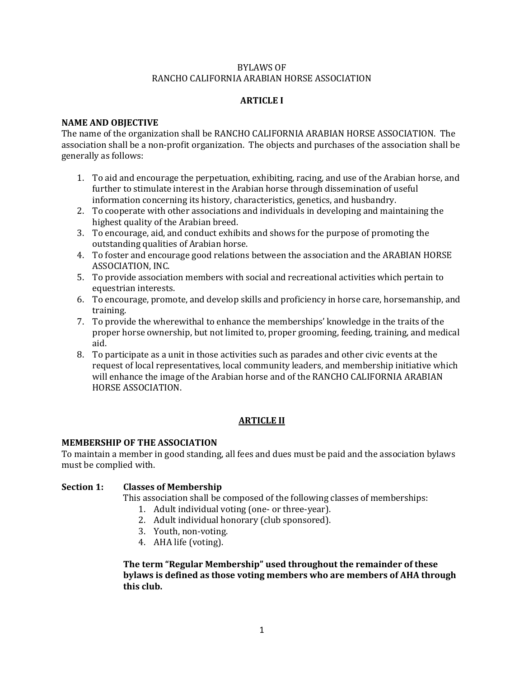### BYLAWS OF RANCHO CALIFORNIA ARABIAN HORSE ASSOCIATION

### **ARTICLE I**

### **NAME AND OBJECTIVE**

The name of the organization shall be RANCHO CALIFORNIA ARABIAN HORSE ASSOCIATION. The association shall be a non-profit organization. The objects and purchases of the association shall be generally as follows:

- 1. To aid and encourage the perpetuation, exhibiting, racing, and use of the Arabian horse, and further to stimulate interest in the Arabian horse through dissemination of useful information concerning its history, characteristics, genetics, and husbandry.
- 2. To cooperate with other associations and individuals in developing and maintaining the highest quality of the Arabian breed.
- 3. To encourage, aid, and conduct exhibits and shows for the purpose of promoting the outstanding qualities of Arabian horse.
- 4. To foster and encourage good relations between the association and the ARABIAN HORSE ASSOCIATION, INC.
- 5. To provide association members with social and recreational activities which pertain to equestrian interests.
- 6. To encourage, promote, and develop skills and proficiency in horse care, horsemanship, and training.
- 7. To provide the wherewithal to enhance the memberships' knowledge in the traits of the proper horse ownership, but not limited to, proper grooming, feeding, training, and medical aid.
- 8. To participate as a unit in those activities such as parades and other civic events at the request of local representatives, local community leaders, and membership initiative which will enhance the image of the Arabian horse and of the RANCHO CALIFORNIA ARABIAN HORSE ASSOCIATION.

## **ARTICLE II**

### **MEMBERSHIP OF THE ASSOCIATION**

To maintain a member in good standing, all fees and dues must be paid and the association bylaws must be complied with.

### **Section 1: Classes of Membership**

This association shall be composed of the following classes of memberships:

- 1. Adult individual voting (one- or three-year).
- 2. Adult individual honorary (club sponsored).
- 3. Youth, non-voting.
- 4. AHA life (voting).

**The term "Regular Membership" used throughout the remainder of these bylaws is defined as those voting members who are members of AHA through this club.**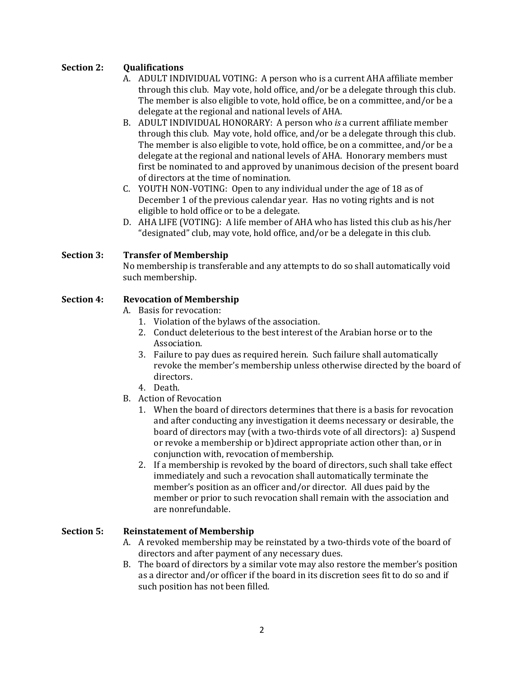# **Section 2: Qualifications**

- A. ADULT INDIVIDUAL VOTING: A person who is a current AHA affiliate member through this club. May vote, hold office, and/or be a delegate through this club. The member is also eligible to vote, hold office, be on a committee, and/or be a delegate at the regional and national levels of AHA.
- B. ADULT INDIVIDUAL HONORARY: A person who *is* a current affiliate member through this club. May vote, hold office, and/or be a delegate through this club. The member is also eligible to vote, hold office, be on a committee, and/or be a delegate at the regional and national levels of AHA. Honorary members must first be nominated to and approved by unanimous decision of the present board of directors at the time of nomination.
- C. YOUTH NON-VOTING: Open to any individual under the age of 18 as of December 1 of the previous calendar year. Has no voting rights and is not eligible to hold office or to be a delegate.
- D. AHA LIFE (VOTING): A life member of AHA who has listed this club as his/her "designated" club, may vote, hold office, and/or be a delegate in this club.

## **Section 3: Transfer of Membership**

No membership is transferable and any attempts to do so shall automatically void such membership.

## **Section 4: Revocation of Membership**

A. Basis for revocation:

- 1. Violation of the bylaws of the association.
- 2. Conduct deleterious to the best interest of the Arabian horse or to the Association.
- 3. Failure to pay dues as required herein. Such failure shall automatically revoke the member's membership unless otherwise directed by the board of directors.
- 4. Death.
- B. Action of Revocation
	- 1. When the board of directors determines that there is a basis for revocation and after conducting any investigation it deems necessary or desirable, the board of directors may (with a two-thirds vote of all directors): a) Suspend or revoke a membership or b)direct appropriate action other than, or in conjunction with, revocation of membership.
	- 2. If a membership is revoked by the board of directors, such shall take effect immediately and such a revocation shall automatically terminate the member's position as an officer and/or director. All dues paid by the member or prior to such revocation shall remain with the association and are nonrefundable.

## **Section 5: Reinstatement of Membership**

- A. A revoked membership may be reinstated by a two-thirds vote of the board of directors and after payment of any necessary dues.
- B. The board of directors by a similar vote may also restore the member's position as a director and/or officer if the board in its discretion sees fit to do so and if such position has not been filled.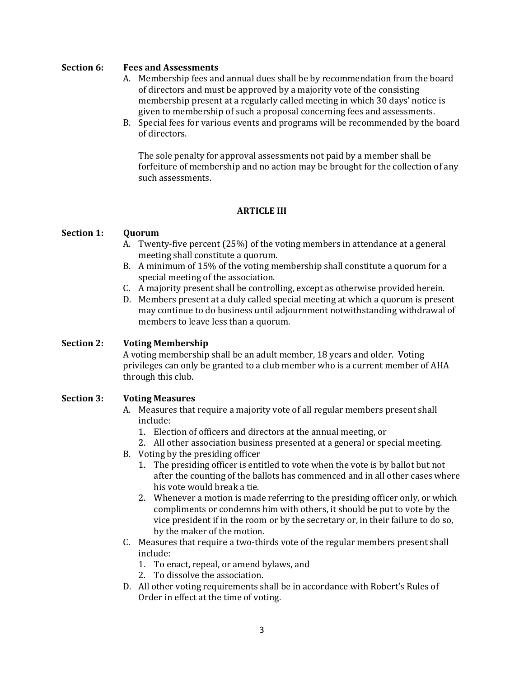### **Section 6: Fees and Assessments**

- A. Membership fees and annual dues shall be by recommendation from the board of directors and must be approved by a majority vote of the consisting membership present at a regularly called meeting in which 30 days' notice is given to membership of such a proposal concerning fees and assessments.
- B. Special fees for various events and programs will be recommended by the board of directors.

The sole penalty for approval assessments not paid by a member shall be forfeiture of membership and no action may be brought for the collection of any such assessments.

## **ARTICLE III**

### **Section 1: Quorum**

- A. Twenty-five percent (25%) of the voting members in attendance at a general meeting shall constitute a quorum.
- B. A minimum of 15% of the voting membership shall constitute a quorum for a special meeting of the association.
- C. A majority present shall be controlling, except as otherwise provided herein.
- D. Members present at a duly called special meeting at which a quorum is present may continue to do business until adjournment notwithstanding withdrawal of members to leave less than a quorum.

## **Section 2: Voting Membership**

A voting membership shall be an adult member, 18 years and older. Voting privileges can only be granted to a club member who is a current member of AHA through this club.

### **Section 3: Voting Measures**

- A. Measures that require a majority vote of all regular members present shall include:
	- 1. Election of officers and directors at the annual meeting, or
	- 2. All other association business presented at a general or special meeting.
- B. Voting by the presiding officer
	- 1. The presiding officer is entitled to vote when the vote is by ballot but not after the counting of the ballots has commenced and in all other cases where his vote would break a tie.
	- 2. Whenever a motion is made referring to the presiding officer only, or which compliments or condemns him with others, it should be put to vote by the vice president if in the room or by the secretary or, in their failure to do so, by the maker of the motion.
- C. Measures that require a two-thirds vote of the regular members present shall include:
	- 1. To enact, repeal, or amend bylaws, and
	- 2. To dissolve the association.
- D. All other voting requirements shall be in accordance with Robert's Rules of Order in effect at the time of voting.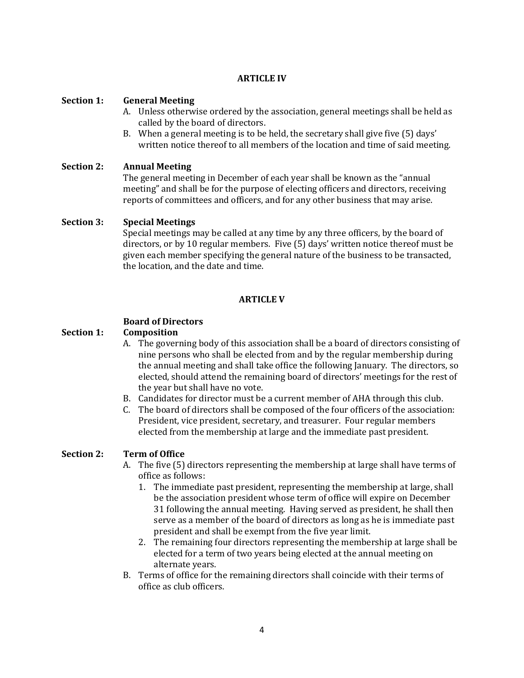## **ARTICLE IV**

### **Section 1: General Meeting**

- A. Unless otherwise ordered by the association, general meetings shall be held as called by the board of directors.
- B. When a general meeting is to be held, the secretary shall give five (5) days' written notice thereof to all members of the location and time of said meeting.

### **Section 2: Annual Meeting**

The general meeting in December of each year shall be known as the "annual meeting" and shall be for the purpose of electing officers and directors, receiving reports of committees and officers, and for any other business that may arise.

### **Section 3: Special Meetings**

Special meetings may be called at any time by any three officers, by the board of directors, or by 10 regular members. Five (5) days' written notice thereof must be given each member specifying the general nature of the business to be transacted, the location, and the date and time.

## **ARTICLE V**

## **Board of Directors**

### **Section 1: Composition**

- A. The governing body of this association shall be a board of directors consisting of nine persons who shall be elected from and by the regular membership during the annual meeting and shall take office the following January. The directors, so elected, should attend the remaining board of directors' meetings for the rest of the year but shall have no vote.
- B. Candidates for director must be a current member of AHA through this club.
- C. The board of directors shall be composed of the four officers of the association: President, vice president, secretary, and treasurer. Four regular members elected from the membership at large and the immediate past president.

### **Section 2: Term of Office**

- A. The five (5) directors representing the membership at large shall have terms of office as follows:
	- 1. The immediate past president, representing the membership at large, shall be the association president whose term of office will expire on December 31 following the annual meeting. Having served as president, he shall then serve as a member of the board of directors as long as he is immediate past president and shall be exempt from the five year limit.
	- 2. The remaining four directors representing the membership at large shall be elected for a term of two years being elected at the annual meeting on alternate years.
- B. Terms of office for the remaining directors shall coincide with their terms of office as club officers.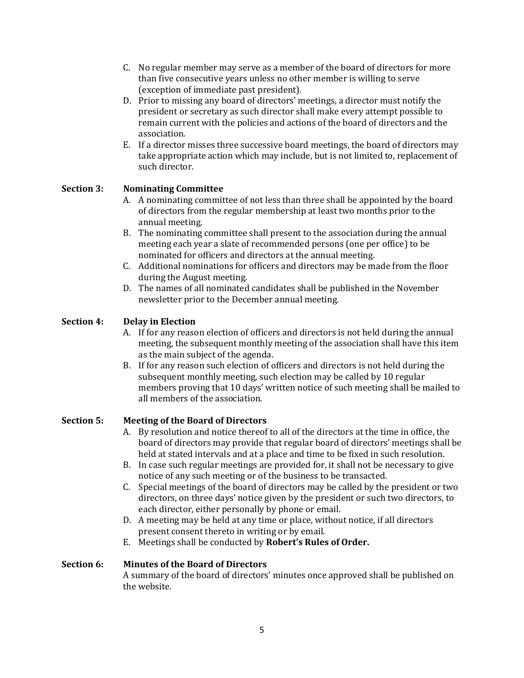- C. No regular member may serve as a member of the board of directors for more than five consecutive years unless no other member is willing to serve (exception of immediate past president).
- D. Prior to missing any board of directors' meetings, a director must notify the president or secretary as such director shall make every attempt possible to remain current with the policies and actions of the board of directors and the association.
- E. If a director misses three successive board meetings, the board of directors may take appropriate action which may include, but is not limited to, replacement of such director.

# **Section 3: Nominating Committee**

- A. A nominating committee of not less than three shall be appointed by the board of directors from the regular membership at least two months prior to the annual meeting.
- B. The nominating committee shall present to the association during the annual meeting each year a slate of recommended persons (one per office) to be nominated for officers and directors at the annual meeting.
- C. Additional nominations for officers and directors may be made from the floor during the August meeting.
- D. The names of all nominated candidates shall be published in the November newsletter prior to the December annual meeting.

# **Section 4: Delay in Election**

- A. If for any reason election of officers and directors is not held during the annual meeting, the subsequent monthly meeting of the association shall have this item as the main subject of the agenda.
- B. If for any reason such election of officers and directors is not held during the subsequent monthly meeting, such election may be called by 10 regular members proving that 10 days' written notice of such meeting shall be mailed to all members of the association.

## **Section 5: Meeting of the Board of Directors**

- A. By resolution and notice thereof to all of the directors at the time in office, the board of directors may provide that regular board of directors' meetings shall be held at stated intervals and at a place and time to be fixed in such resolution.
- B. In case such regular meetings are provided for, it shall not be necessary to give notice of any such meeting or of the business to be transacted.
- C. Special meetings of the board of directors may be called by the president or two directors, on three days' notice given by the president or such two directors, to each director, either personally by phone or email.
- D. A meeting may be held at any time or place, without notice, if all directors present consent thereto in writing or by email.
- E. Meetings shall be conducted by **Robert's Rules of Order.**

## **Section 6: Minutes of the Board of Directors**

A summary of the board of directors' minutes once approved shall be published on the website.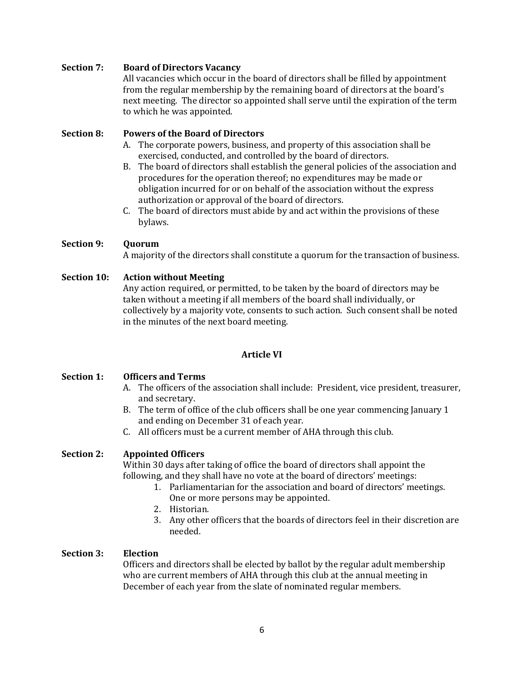### **Section 7: Board of Directors Vacancy**

All vacancies which occur in the board of directors shall be filled by appointment from the regular membership by the remaining board of directors at the board's next meeting. The director so appointed shall serve until the expiration of the term to which he was appointed.

### **Section 8: Powers of the Board of Directors**

- A. The corporate powers, business, and property of this association shall be exercised, conducted, and controlled by the board of directors.
- B. The board of directors shall establish the general policies of the association and procedures for the operation thereof; no expenditures may be made or obligation incurred for or on behalf of the association without the express authorization or approval of the board of directors.
- C. The board of directors must abide by and act within the provisions of these bylaws.

### **Section 9: Quorum**

A majority of the directors shall constitute a quorum for the transaction of business.

### **Section 10: Action without Meeting**

Any action required, or permitted, to be taken by the board of directors may be taken without a meeting if all members of the board shall individually, or collectively by a majority vote, consents to such action. Such consent shall be noted in the minutes of the next board meeting.

## **Article VI**

## **Section 1: Officers and Terms**

- A. The officers of the association shall include: President, vice president, treasurer, and secretary.
- B. The term of office of the club officers shall be one year commencing January 1 and ending on December 31 of each year.
- C. All officers must be a current member of AHA through this club.

## **Section 2: Appointed Officers**

Within 30 days after taking of office the board of directors shall appoint the following, and they shall have no vote at the board of directors' meetings:

- 1. Parliamentarian for the association and board of directors' meetings. One or more persons may be appointed.
- 2. Historian.
- 3. Any other officers that the boards of directors feel in their discretion are needed.

### **Section 3: Election**

Officers and directors shall be elected by ballot by the regular adult membership who are current members of AHA through this club at the annual meeting in December of each year from the slate of nominated regular members.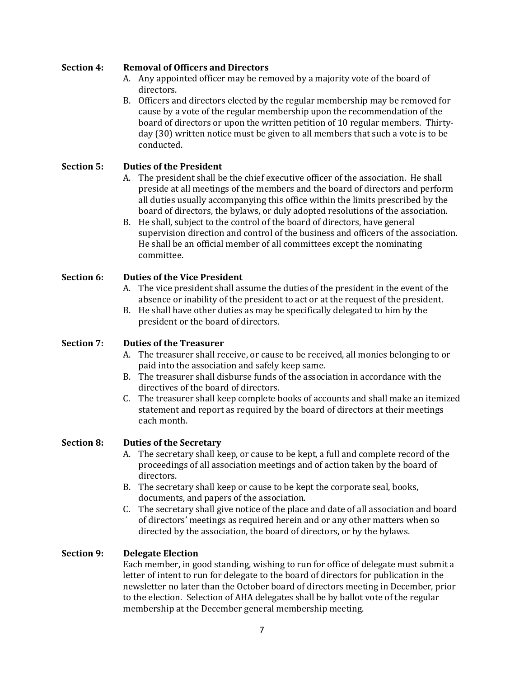## **Section 4: Removal of Officers and Directors**

- A. Any appointed officer may be removed by a majority vote of the board of directors.
- B. Officers and directors elected by the regular membership may be removed for cause by a vote of the regular membership upon the recommendation of the board of directors or upon the written petition of 10 regular members. Thirtyday (30) written notice must be given to all members that such a vote is to be conducted.

## **Section 5: Duties of the President**

- A. The president shall be the chief executive officer of the association. He shall preside at all meetings of the members and the board of directors and perform all duties usually accompanying this office within the limits prescribed by the board of directors, the bylaws, or duly adopted resolutions of the association.
- B. He shall, subject to the control of the board of directors, have general supervision direction and control of the business and officers of the association. He shall be an official member of all committees except the nominating committee.

## **Section 6: Duties of the Vice President**

- A. The vice president shall assume the duties of the president in the event of the absence or inability of the president to act or at the request of the president.
- B. He shall have other duties as may be specifically delegated to him by the president or the board of directors.

## **Section 7: Duties of the Treasurer**

- A. The treasurer shall receive, or cause to be received, all monies belonging to or paid into the association and safely keep same.
- B. The treasurer shall disburse funds of the association in accordance with the directives of the board of directors.
- C. The treasurer shall keep complete books of accounts and shall make an itemized statement and report as required by the board of directors at their meetings each month.

## **Section 8: Duties of the Secretary**

- A. The secretary shall keep, or cause to be kept, a full and complete record of the proceedings of all association meetings and of action taken by the board of directors.
- B. The secretary shall keep or cause to be kept the corporate seal, books, documents, and papers of the association.
- C. The secretary shall give notice of the place and date of all association and board of directors' meetings as required herein and or any other matters when so directed by the association, the board of directors, or by the bylaws.

### **Section 9: Delegate Election**

Each member, in good standing, wishing to run for office of delegate must submit a letter of intent to run for delegate to the board of directors for publication in the newsletter no later than the October board of directors meeting in December, prior to the election. Selection of AHA delegates shall be by ballot vote of the regular membership at the December general membership meeting.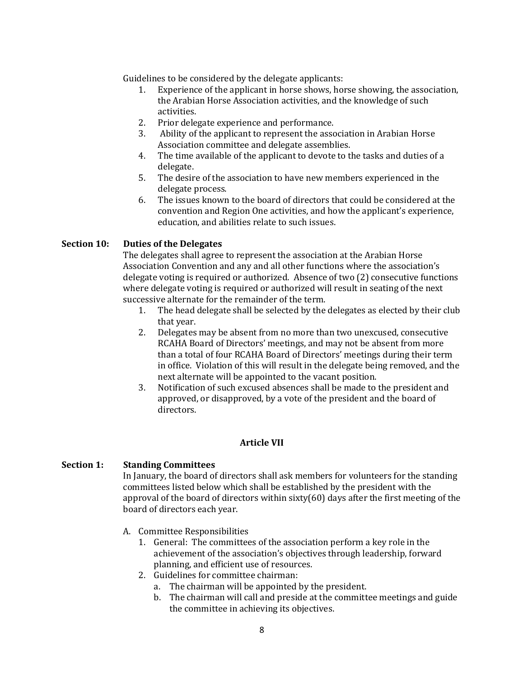Guidelines to be considered by the delegate applicants:

- 1. Experience of the applicant in horse shows, horse showing, the association, the Arabian Horse Association activities, and the knowledge of such activities.
- 2. Prior delegate experience and performance.
- 3. Ability of the applicant to represent the association in Arabian Horse Association committee and delegate assemblies.
- 4. The time available of the applicant to devote to the tasks and duties of a delegate.
- 5. The desire of the association to have new members experienced in the delegate process.
- 6. The issues known to the board of directors that could be considered at the convention and Region One activities, and how the applicant's experience, education, and abilities relate to such issues.

### **Section 10: Duties of the Delegates**

The delegates shall agree to represent the association at the Arabian Horse Association Convention and any and all other functions where the association's delegate voting is required or authorized. Absence of two (2) consecutive functions where delegate voting is required or authorized will result in seating of the next successive alternate for the remainder of the term.

- 1. The head delegate shall be selected by the delegates as elected by their club that year.
- 2. Delegates may be absent from no more than two unexcused, consecutive RCAHA Board of Directors' meetings, and may not be absent from more than a total of four RCAHA Board of Directors' meetings during their term in office. Violation of this will result in the delegate being removed, and the next alternate will be appointed to the vacant position.
- 3. Notification of such excused absences shall be made to the president and approved, or disapproved, by a vote of the president and the board of directors.

## **Article VII**

### **Section 1: Standing Committees**

In January, the board of directors shall ask members for volunteers for the standing committees listed below which shall be established by the president with the approval of the board of directors within sixty(60) days after the first meeting of the board of directors each year.

- A. Committee Responsibilities
	- 1. General: The committees of the association perform a key role in the achievement of the association's objectives through leadership, forward planning, and efficient use of resources.
	- 2. Guidelines for committee chairman:
		- a. The chairman will be appointed by the president.
		- b. The chairman will call and preside at the committee meetings and guide the committee in achieving its objectives.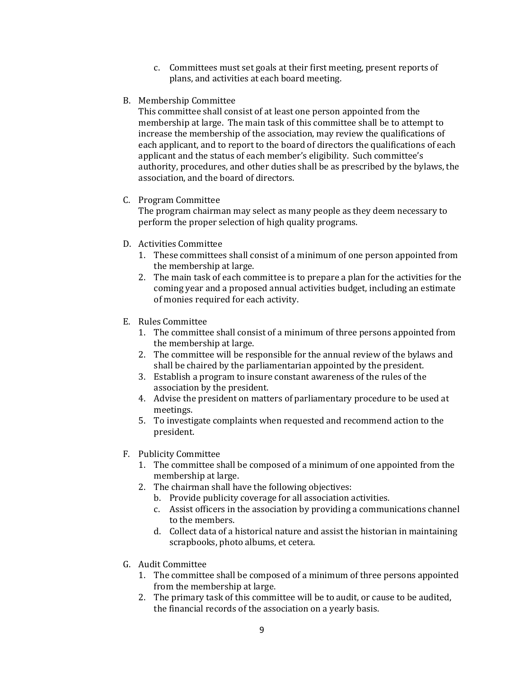- c. Committees must set goals at their first meeting, present reports of plans, and activities at each board meeting.
- B. Membership Committee

This committee shall consist of at least one person appointed from the membership at large. The main task of this committee shall be to attempt to increase the membership of the association, may review the qualifications of each applicant, and to report to the board of directors the qualifications of each applicant and the status of each member's eligibility. Such committee's authority, procedures, and other duties shall be as prescribed by the bylaws, the association, and the board of directors.

C. Program Committee

The program chairman may select as many people as they deem necessary to perform the proper selection of high quality programs.

- D. Activities Committee
	- 1. These committees shall consist of a minimum of one person appointed from the membership at large.
	- 2. The main task of each committee is to prepare a plan for the activities for the coming year and a proposed annual activities budget, including an estimate of monies required for each activity.
- E. Rules Committee
	- 1. The committee shall consist of a minimum of three persons appointed from the membership at large.
	- 2. The committee will be responsible for the annual review of the bylaws and shall be chaired by the parliamentarian appointed by the president.
	- 3. Establish a program to insure constant awareness of the rules of the association by the president.
	- 4. Advise the president on matters of parliamentary procedure to be used at meetings.
	- 5. To investigate complaints when requested and recommend action to the president.
- F. Publicity Committee
	- 1. The committee shall be composed of a minimum of one appointed from the membership at large.
	- 2. The chairman shall have the following objectives:
		- b. Provide publicity coverage for all association activities.
		- c. Assist officers in the association by providing a communications channel to the members.
		- d. Collect data of a historical nature and assist the historian in maintaining scrapbooks, photo albums, et cetera.
- G. Audit Committee
	- 1. The committee shall be composed of a minimum of three persons appointed from the membership at large.
	- 2. The primary task of this committee will be to audit, or cause to be audited, the financial records of the association on a yearly basis.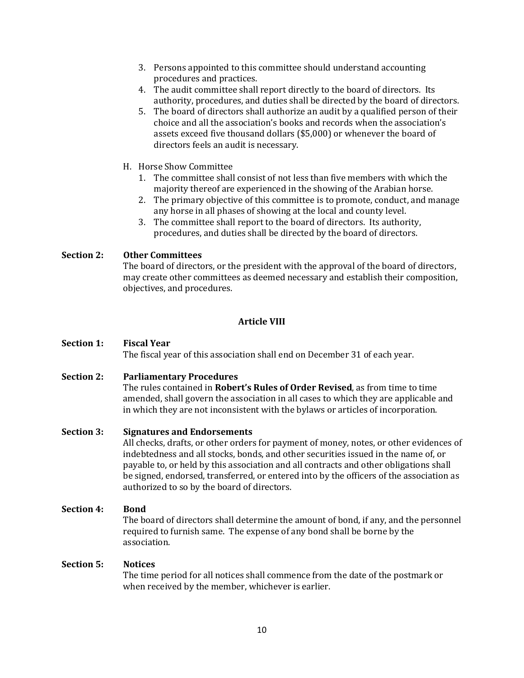- 3. Persons appointed to this committee should understand accounting procedures and practices.
- 4. The audit committee shall report directly to the board of directors. Its authority, procedures, and duties shall be directed by the board of directors.
- 5. The board of directors shall authorize an audit by a qualified person of their choice and all the association's books and records when the association's assets exceed five thousand dollars (\$5,000) or whenever the board of directors feels an audit is necessary.
- H. Horse Show Committee
	- 1. The committee shall consist of not less than five members with which the majority thereof are experienced in the showing of the Arabian horse.
	- 2. The primary objective of this committee is to promote, conduct, and manage any horse in all phases of showing at the local and county level.
	- 3. The committee shall report to the board of directors. Its authority, procedures, and duties shall be directed by the board of directors.

## **Section 2: Other Committees**

The board of directors, or the president with the approval of the board of directors, may create other committees as deemed necessary and establish their composition, objectives, and procedures.

### **Article VIII**

## **Section 1: Fiscal Year**

The fiscal year of this association shall end on December 31 of each year.

### **Section 2: Parliamentary Procedures**

The rules contained in **Robert's Rules of Order Revised**, as from time to time amended, shall govern the association in all cases to which they are applicable and in which they are not inconsistent with the bylaws or articles of incorporation.

### **Section 3: Signatures and Endorsements**

All checks, drafts, or other orders for payment of money, notes, or other evidences of indebtedness and all stocks, bonds, and other securities issued in the name of, or payable to, or held by this association and all contracts and other obligations shall be signed, endorsed, transferred, or entered into by the officers of the association as authorized to so by the board of directors.

### **Section 4: Bond**

The board of directors shall determine the amount of bond, if any, and the personnel required to furnish same. The expense of any bond shall be borne by the association.

### **Section 5: Notices**

The time period for all notices shall commence from the date of the postmark or when received by the member, whichever is earlier.